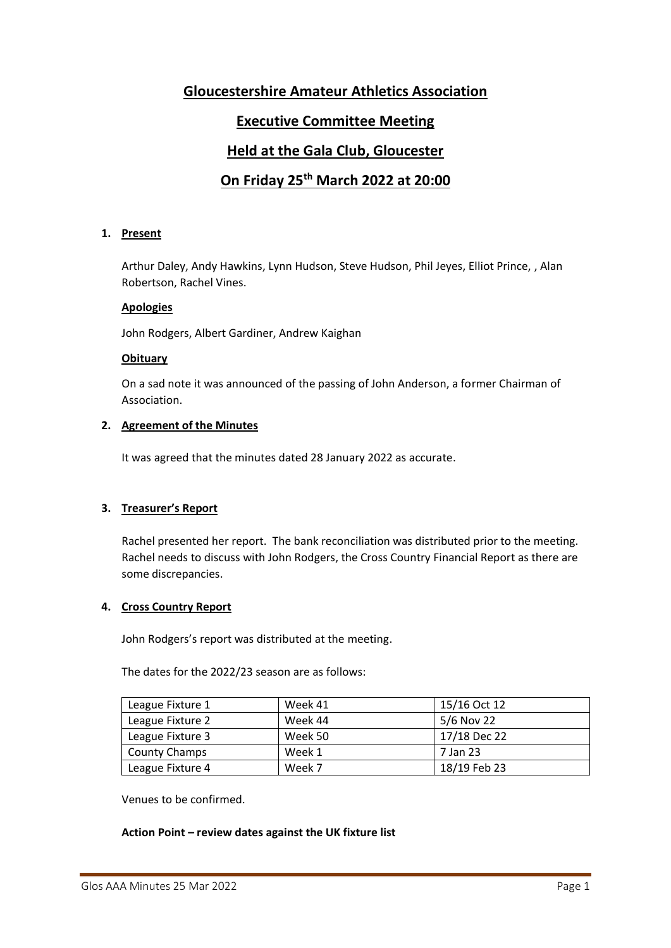## **Gloucestershire Amateur Athletics Association**

## **Executive Committee Meeting**

## **Held at the Gala Club, Gloucester**

# **On Friday 25th March 2022 at 20:00**

## **1. Present**

Arthur Daley, Andy Hawkins, Lynn Hudson, Steve Hudson, Phil Jeyes, Elliot Prince, , Alan Robertson, Rachel Vines.

## **Apologies**

John Rodgers, Albert Gardiner, Andrew Kaighan

## **Obituary**

On a sad note it was announced of the passing of John Anderson, a former Chairman of Association.

## **2. Agreement of the Minutes**

It was agreed that the minutes dated 28 January 2022 as accurate.

## **3. Treasurer's Report**

Rachel presented her report. The bank reconciliation was distributed prior to the meeting. Rachel needs to discuss with John Rodgers, the Cross Country Financial Report as there are some discrepancies.

#### **4. Cross Country Report**

John Rodgers's report was distributed at the meeting.

The dates for the 2022/23 season are as follows:

| League Fixture 1     | Week 41 | 15/16 Oct 12 |
|----------------------|---------|--------------|
| League Fixture 2     | Week 44 | 5/6 Nov 22   |
| League Fixture 3     | Week 50 | 17/18 Dec 22 |
| <b>County Champs</b> | Week 1  | 7 Jan 23     |
| League Fixture 4     | Week 7  | 18/19 Feb 23 |

Venues to be confirmed.

#### **Action Point – review dates against the UK fixture list**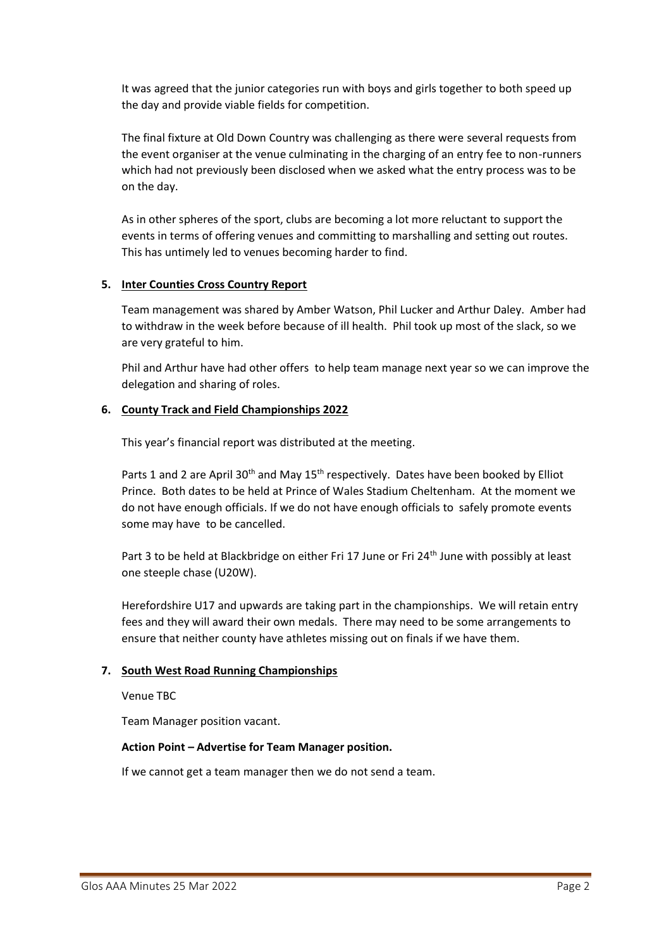It was agreed that the junior categories run with boys and girls together to both speed up the day and provide viable fields for competition.

The final fixture at Old Down Country was challenging as there were several requests from the event organiser at the venue culminating in the charging of an entry fee to non-runners which had not previously been disclosed when we asked what the entry process was to be on the day.

As in other spheres of the sport, clubs are becoming a lot more reluctant to support the events in terms of offering venues and committing to marshalling and setting out routes. This has untimely led to venues becoming harder to find.

## **5. Inter Counties Cross Country Report**

Team management was shared by Amber Watson, Phil Lucker and Arthur Daley. Amber had to withdraw in the week before because of ill health. Phil took up most of the slack, so we are very grateful to him.

Phil and Arthur have had other offers to help team manage next year so we can improve the delegation and sharing of roles.

## **6. County Track and Field Championships 2022**

This year's financial report was distributed at the meeting.

Parts 1 and 2 are April 30<sup>th</sup> and May 15<sup>th</sup> respectively. Dates have been booked by Elliot Prince. Both dates to be held at Prince of Wales Stadium Cheltenham. At the moment we do not have enough officials. If we do not have enough officials to safely promote events some may have to be cancelled.

Part 3 to be held at Blackbridge on either Fri 17 June or Fri 24<sup>th</sup> June with possibly at least one steeple chase (U20W).

Herefordshire U17 and upwards are taking part in the championships. We will retain entry fees and they will award their own medals. There may need to be some arrangements to ensure that neither county have athletes missing out on finals if we have them.

#### **7. South West Road Running Championships**

Venue TBC

Team Manager position vacant.

#### **Action Point – Advertise for Team Manager position.**

If we cannot get a team manager then we do not send a team.